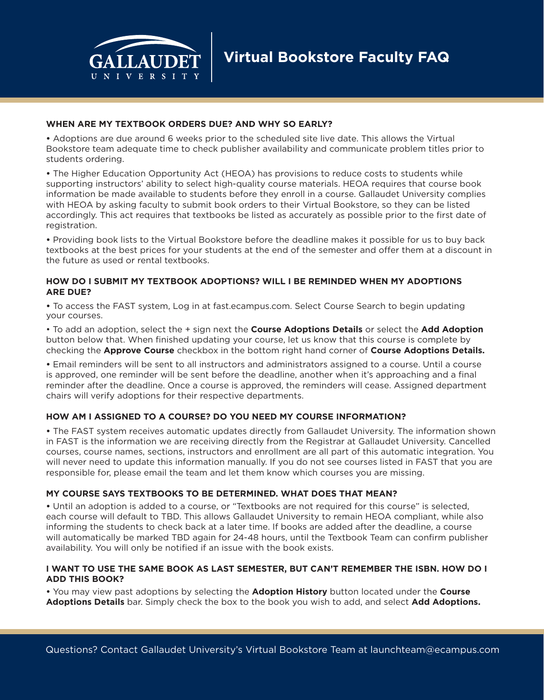

#### **WHEN ARE MY TEXTBOOK ORDERS DUE? AND WHY SO EARLY?**

**•** Adoptions are due around 6 weeks prior to the scheduled site live date. This allows the Virtual Bookstore team adequate time to check publisher availability and communicate problem titles prior to students ordering.

**•** The Higher Education Opportunity Act (HEOA) has provisions to reduce costs to students while supporting instructors' ability to select high-quality course materials. HEOA requires that course book information be made available to students before they enroll in a course. Gallaudet University complies with HEOA by asking faculty to submit book orders to their Virtual Bookstore, so they can be listed accordingly. This act requires that textbooks be listed as accurately as possible prior to the first date of registration.

**•** Providing book lists to the Virtual Bookstore before the deadline makes it possible for us to buy back textbooks at the best prices for your students at the end of the semester and offer them at a discount in the future as used or rental textbooks.

### **HOW DO I SUBMIT MY TEXTBOOK ADOPTIONS? WILL I BE REMINDED WHEN MY ADOPTIONS ARE DUE?**

**•** To access the FAST system, Log in at fast.ecampus.com. Select Course Search to begin updating your courses.

• To add an adoption, select the + sign next the **Course Adoptions Details** or select the **Add Adoption** button below that. When finished updating your course, let us know that this course is complete by checking the **Approve Course** checkbox in the bottom right hand corner of **Course Adoptions Details.**

**•** Email reminders will be sent to all instructors and administrators assigned to a course. Until a course is approved, one reminder will be sent before the deadline, another when it's approaching and a final reminder after the deadline. Once a course is approved, the reminders will cease. Assigned department chairs will verify adoptions for their respective departments.

# **HOW AM I ASSIGNED TO A COURSE? DO YOU NEED MY COURSE INFORMATION?**

**•** The FAST system receives automatic updates directly from Gallaudet University. The information shown in FAST is the information we are receiving directly from the Registrar at Gallaudet University. Cancelled courses, course names, sections, instructors and enrollment are all part of this automatic integration. You will never need to update this information manually. If you do not see courses listed in FAST that you are responsible for, please email the team and let them know which courses you are missing.

# **MY COURSE SAYS TEXTBOOKS TO BE DETERMINED. WHAT DOES THAT MEAN?**

**•** Until an adoption is added to a course, or "Textbooks are not required for this course" is selected, each course will default to TBD. This allows Gallaudet University to remain HEOA compliant, while also informing the students to check back at a later time. If books are added after the deadline, a course will automatically be marked TBD again for 24-48 hours, until the Textbook Team can confirm publisher availability. You will only be notified if an issue with the book exists.

#### **I WANT TO USE THE SAME BOOK AS LAST SEMESTER, BUT CAN'T REMEMBER THE ISBN. HOW DO I ADD THIS BOOK?**

**•** You may view past adoptions by selecting the **Adoption History** button located under the **Course Adoptions Details** bar. Simply check the box to the book you wish to add, and select **Add Adoptions.**